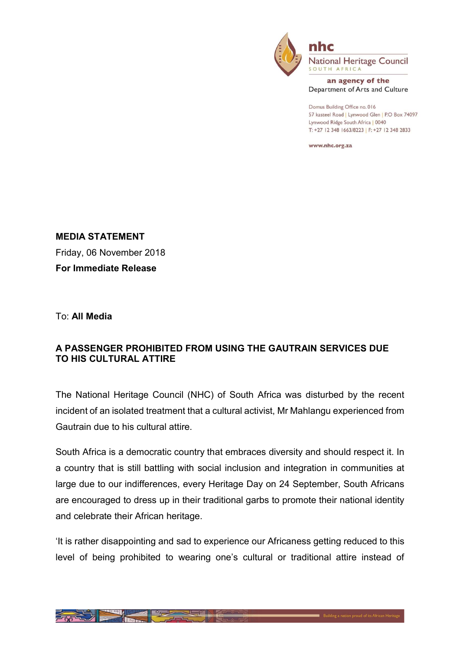

**National Heritage Council** SOUTH AFRICA

an agency of the Department of Arts and Culture

Domus Building Office no. 016 57 kasteel Road | Lynwood Glen | P.O Box 74097 Lynwood Ridge South Africa | 0040 T: +27 12 348 1663/8223 | F: +27 12 348 2833

www.nhc.org.za

MEDIA STATEMENT Friday, 06 November 2018 For Immediate Release

To: All Media

## A PASSENGER PROHIBITED FROM USING THE GAUTRAIN SERVICES DUE TO HIS CULTURAL ATTIRE

The National Heritage Council (NHC) of South Africa was disturbed by the recent incident of an isolated treatment that a cultural activist, Mr Mahlangu experienced from Gautrain due to his cultural attire.

South Africa is a democratic country that embraces diversity and should respect it. In a country that is still battling with social inclusion and integration in communities at large due to our indifferences, every Heritage Day on 24 September, South Africans are encouraged to dress up in their traditional garbs to promote their national identity and celebrate their African heritage.

'It is rather disappointing and sad to experience our Africaness getting reduced to this level of being prohibited to wearing one's cultural or traditional attire instead of